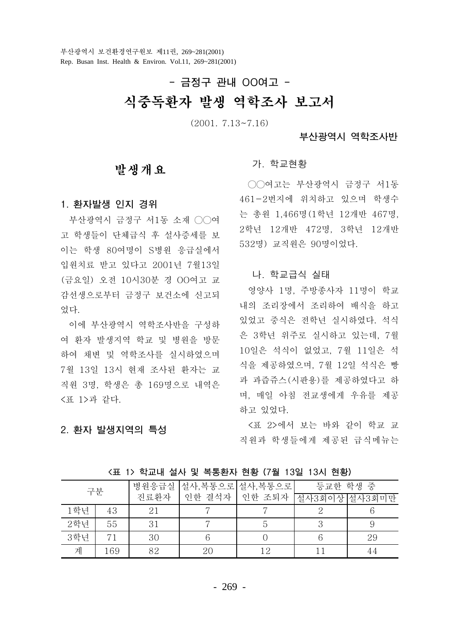# - 금정구 관내 OO여고 -식중독환자 발생 역학조사 보고서

 $(2001, 7.13 \sim 7.16)$ 

# 부산광역시 역학조사반

# 발생개요

1. 환자발생 인지 경위

부산광역시 금정구 서1동 소재 ○○여 고 학생들이 단체급식 후 설사증세를 보 이는 학생 80여명이 S병원 응급실에서 입원치료 받고 있다고 2001년 7월13일 (금요일) 오전 10시30분 경 OO여고 교 감선생으로부터 금정구 보건소에 신고되 었다.

이에 부산광역시 역학조사반을 구성하 여 환자 발생지역 학교 및 병원을 방문 하여 채변 및 역학조사를 실시하였으며 7월 13일 13시 현재 조사된 환자는 교 직원 3명, 학생은 총 169명으로 내역은 <표 1>과 같다.

# 2. 환자 발생지역의 특성

#### 가. 학교현황

○○여고는 부산광역시 금정구 서1동 461-2번지에 위치하고 있으며 학생수 는 총원 1,466명(1학년 12개반 467명, 2학년 12개반 472명, 3학년 12개반 532명) 교직원은 90명이었다.

### 나. 학교급식 실태

영양사 1명. 주방종사자 11명이 학교 내의 조리장에서 조리하여 배식을 하고 있었고 중식은 전학년 실시하였다. 석식 은 3학년 위주로 실시하고 있는데, 7월 10일은 석식이 없었고, 7월 11일은 석 식을 제공하였으며, 7월 12일 석식은 빵 과 과즙쥬스(시판용)를 제공하였다고 하 며, 매일 아침 전교생에게 우유를 제공 하고 있었다.

<표 2>에서 보는 바와 같이 학교 교 직원과 학생들에게 제공된 급식메뉴는

| 구분  |     | 병원응급실 | 설사,복통으로   | 설사,복통으로   | 등교한 학생 중 |        |
|-----|-----|-------|-----------|-----------|----------|--------|
|     |     | 진료환자  | 결석자<br>인한 | 인한<br>조퇴자 | 설사3회이상   | 설사3회미만 |
| 1학년 | 43  | 21    |           |           |          |        |
| 2학년 | 55  | 31    |           |           |          |        |
| 3학년 | 71  | 30    |           |           |          | 29     |
| 계   | 169 | 82    | 20        | 1 Ω       |          | 44     |

<표 1> 학교내 설사 및 복통환자 현황 (7월 13일 13시 현황)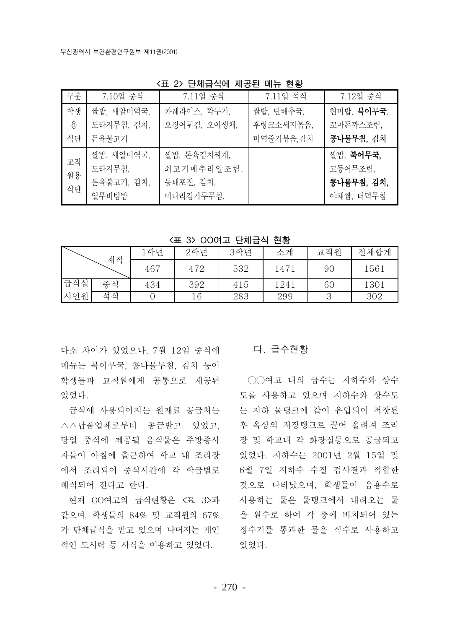| 학생<br>쌀밥, 새알미역국,<br>용<br>도라지무침, 김치,<br>식단<br>돈육불고기<br>쌀밥, 새알미역국, | 카레라이스, 깍두기,<br>오징어튀김, 오이생채,                         | 쌀밥, 단배추국,<br>후랑크소세지볶음, | 현미밥, <b>북어무국</b> ,<br>꼬마돈까스조림,                  |
|------------------------------------------------------------------|-----------------------------------------------------|------------------------|-------------------------------------------------|
|                                                                  |                                                     |                        |                                                 |
|                                                                  |                                                     |                        |                                                 |
|                                                                  |                                                     | 미역줄기볶음,김치              | 콩나물무침, 김치                                       |
| 교직<br>도라지무침,<br>원용<br>돈육불고기, 김치,<br>식단<br>열무비빔밥                  | 쌀밥, 돈육김치찌게,<br>쇠고기메추리알조림,<br>동태포전, 김치,<br>미나리김가루무침. |                        | 쌀밥, 북어무국.<br>고등어무조림,<br>콩나물무침, 김치,<br>야채쌈, 더덕무침 |

<표 2> 단체급식에 제공된 메뉴 현황

<표 3> 00여고 단체급식 현황

|     | 재적 | 학년  | 2학년 | 3학년 | 소계   | 교직원 | 전체합계 |
|-----|----|-----|-----|-----|------|-----|------|
|     |    | 467 | 472 | 532 | 147. | 90  | 1561 |
| 급식실 | 중식 | 434 | 392 | 415 | 1241 | 60  | 1301 |
| 시인원 | 석식 |     | 16  | 283 | 299  |     | 302  |

다소 차이가 있었으나. 7월 12일 중식에 메뉴는 북어무국, 콩나물무침, 김치 등이 학생들과 교직원에게 공통으로 제공된 있었다.

급식에 사용되어지는 원재료 공급처는 △△납품업체로부터 공급받고 있었고. 당일 중식에 제공될 음식물은 주방종사 자들이 아침에 출근하여 학교 내 조리장 에서 조리되어 중식시간에 각 학급별로 배식되어 진다고 한다.

같으며, 학생들의 84% 및 교직원의 67% 가 단체급식을 받고 있으며 나머지는 개인 적인 도시락 등 사식을 이용하고 있었다.

# 다. 급수현황

○○여고 내의 급수는 지하수와 상수 도를 사용하고 있으며 지하수와 상수도 는 지하 물탱크에 같이 유입되어 저장된 후 옥상의 저장탱크로 끌어 올려져 조리 장 및 학교내 각 화장실등으로 공급되고 있었다. 지하수는 2001년 2월 15일 및 6월 7일 지하수 수질 검사결과 적합한 것으로 나타났으며, 학생들이 음용수로 현재 OO여고의 급식현황은 <표 3>과 사용하는 물은 물탱크에서 내려오는 물 을 워수로 하여 각 층에 비치되어 있는 정수기를 통과한 물을 식수로 사용하고 있었다.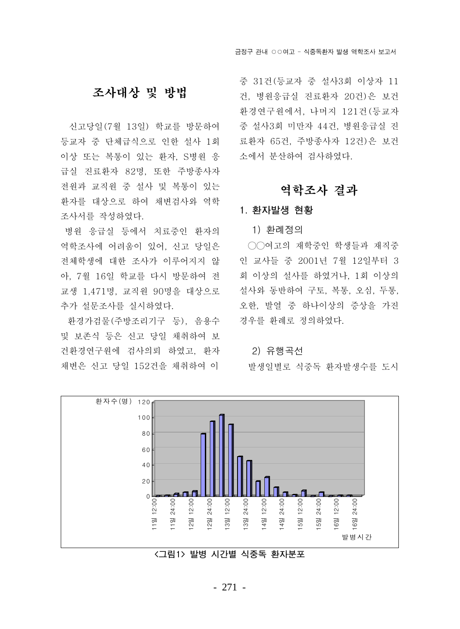# 조사대상 및 방법

신고당일(7월 13일) 학교를 방문하여 등교자 중 단체급식으로 인한 설사 1회 이상 또는 복통이 있는 화자. S병원 응 급실 진료환자 82명, 또한 주방종사자 전원과 교직원 중 설사 및 복통이 있는 환자를 대상으로 하여 채변검사와 역학 조사서를 작성하였다.

병원 응급실 등에서 치료중인 화자의 역학조사에 어려움이 있어. 신고 당일은 전체학생에 대하 조사가 이루어지지 않 아. 7월 16일 학교를 다시 방문하여 전 교생 1.471명. 교직원 90명을 대상으로 추가 설문조사를 실시하였다.

환경가검물(주방조리기구 등), 음용수 및 보존식 등은 신고 당일 채취하여 보 건환경연구원에 검사의뢰 하였고, 환자 채변은 신고 당일 152건을 채취하여 이

중 31건 (등교자 중 설사3회 이상자 11 건, 병원응급실 진료환자 20건)은 보건 환경연구원에서, 나머지 121건 (등교자 중 설사3회 미만자 44건, 병원응급실 진 료화자 65건. 주방종사자 12건)은 보건 소에서 부사하여 검사하였다.

# 역학조사 결과

# 1. 환자발생 현황

1) 화례정의

○○여고의 재학중인 학생들과 재직중 인 교사들 중 2001년 7월 12일부터 3 회 이상의 설사를 하였거나, 1회 이상의 설사와 동반하여 구토, 복통, 오심, 두통, 오한, 발열 중 하나이상의 증상을 가진 경우를 환례로 정의하였다.

#### 2) 유행곡선

발생일별로 식중독 환자발생수를 도시



<그림1> 발병 시가별 식중독 환자분포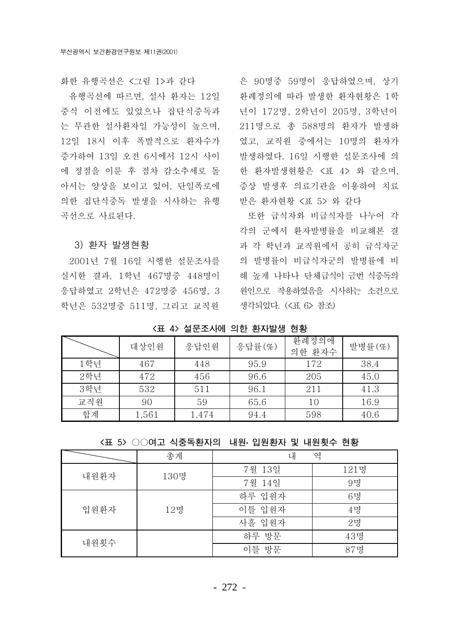유행곡선에 따르면, 설사 환자는 12일 중식 이전에도 있었으나 집단식중독과 는 무관한 설사환자일 가능성이 높으며, 12일 18시 이후 폭발적으로 화자수가 증가하여 13일 오전 6시에서 12시 사이 에 정점을 이룬 후 점차 감소추세로 돌 아서는 양상을 보이고 있어, 단일폭로에 의한 집단식중독 발생을 시사하는 유행 곡선으로 사료된다.

#### 3) 환자 발생현황

2001년 7월 16일 시행한 설문조사를 실시한 결과, 1학년 467명중 448명이 응답하였고 2학년은 472명중 456명, 3 학년은 532명중 511명, 그리고 교직원 생각되었다. (<표 6> 참조)

화한 유행곡선은 <그림 1>과 같다 - - - 은 90명중 59명이 응답하였으며, 상기 환례정의에 따라 발생한 환자현황은 1학 년이 172명, 2학년이 205명, 3학년이 211명으로 총 588명의 환자가 발생하 였고, 교직원 중에서는 10명의 화자가 발생하였다. 16일 시행한 설문조사에 의 한 환자발생현황은 <표 4> 와 같으며, 증상 발생후 의료기관을 이용하여 치료 받은 환자현황 <표 5> 와 같다

> 또한 급식자와 비급식자를 나누어 각 각의 군에서 화자발병률을 비교해본 결 과 각 학년과 교직원에서 공히 급식자군 의 발병률이 비급식자군의 발병률에 비 해 높게 나타나 다체급식이 금번 식중독의 원인으로 작용하였음을 시사하는 소견으로

<표 4> 설문조사에 의한 환자발생 현황

|     | 대상인원  | 응답인원  | 응답률 $(\%)$ | 환례정의에<br>의한 환자수 | 발병률 (%) |
|-----|-------|-------|------------|-----------------|---------|
| 1학년 | 467   | 448   | 95.9       | 172             | 38.4    |
| 2학년 | 472   | 456   | 96.6       | 205             | 45.0    |
| 3학년 | 532   | 511   | 96.1       | 211             | 41.3    |
| 교직원 | 90    | 59    | 65.6       | 10              | 16.9    |
| 합계  | 1,561 | 1,474 | 94.4       | 598             | 40.6    |

<표 5> ○○여고 식중독환자의 내원 입원환자 및 내원횟수 현황

|      | 총계   | 내      | 역    |
|------|------|--------|------|
| 내원환자 | 130명 | 7월 13일 | 121명 |
|      |      | 7월 14일 | 9명   |
|      |      | 하루 입원자 | 6명   |
| 입원환자 | 12명  | 이틀 입원자 | 4g   |
|      |      | 사흘 입원자 | 2g   |
| 내원횟수 |      | 하루 방문  | 43명  |
|      |      | 이틀 방문  | 87명  |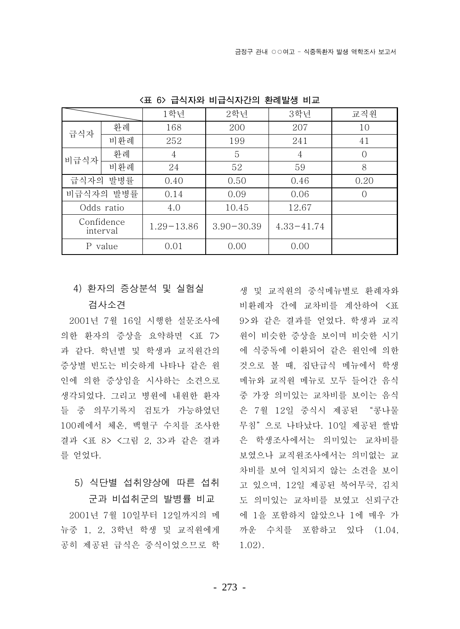|      |                        | 1학년            | 2학년            | 3학년            | 교직원        |
|------|------------------------|----------------|----------------|----------------|------------|
| 급식자  | 환례                     | 168            | 200            | 207            | 10         |
|      | 비환례                    | 252            | 199            | 241            | 41         |
| 비급식자 | 환례                     | 4              | 5              | 4              | $\Omega$   |
|      | 비환례                    | 24             | 52             | 59             | 8          |
|      | 급식자의 발병률               | 0.40           | 0.50           | 0.46           | 0.20       |
|      | 비급식자의 발병률              | 0.14           | 0.09           | 0.06           | $\bigcirc$ |
|      | Odds ratio             | 4.0            | 10.45          | 12.67          |            |
|      | Confidence<br>interval | $1.29 - 13.86$ | $3.90 - 30.39$ | $4.33 - 41.74$ |            |
|      | P value                | 0.01           | 0.00           | 0.00           |            |

<표 6> 급식자와 비급식자간의 환례발생 비교

# 4) 환자의 증상분석 및 실험실

# 검사소견

2001년 7월 16일 시행한 설문조사에 의한 환자의 증상을 요약하면 <표 7> 과 같다. 학년별 및 학생과 교직원간의 증상별 빈도는 비슷하게 나타나 같은 원 인에 의한 증상임을 시사하는 소견으로 생각되었다. 그리고 병원에 내원한 환자 들 중 의무기록지 검토가 가능하였던 100례에서 체온. 백혈구 수치를 조사한 결과 <표 8> <그림 2. 3>과 같은 결과 를 얻었다.

# 5) 식단별 섭취양상에 따른 섭취 군과 비섭취군의 발병률 비교

2001년 7월 10일부터 12일까지의 메 뉴중 1, 2, 3학년 학생 및 교직원에게 공히 제공된 급식은 중식이었으므로 학 생 및 교직원의 중식메뉴별로 환례자와 비환례자 간에 교차비를 계산하여 <표 9>와 같은 결과를 얻었다. 학생과 교직 원이 비슷한 증상을 보이며 비슷한 시기 에 식중독에 이환되어 같은 원인에 의한 것으로 볼 때, 집단급식 메뉴에서 학생 메뉴와 교직원 메뉴로 모두 들어간 음식 중 가장 의미있는 교차비를 보이는 음식 은 7월 12일 중식시 제공된 "콩나물 무침"으로 나타났다. 10일 제공된 쌀밥 은 학생조사에서는 의미있는 교차비를 보였으나 교직원조사에서는 의미없는 교 차비를 보여 일치되지 않는 소견을 보이 고 있으며, 12일 제공된 북어무국, 김치 도 의미있는 교차비를 보였고 신뢰구간 에 1을 포함하지 않았으나 1에 매우 가 까우 수치를 포함하고 있다 (1.04.  $1.02$ ).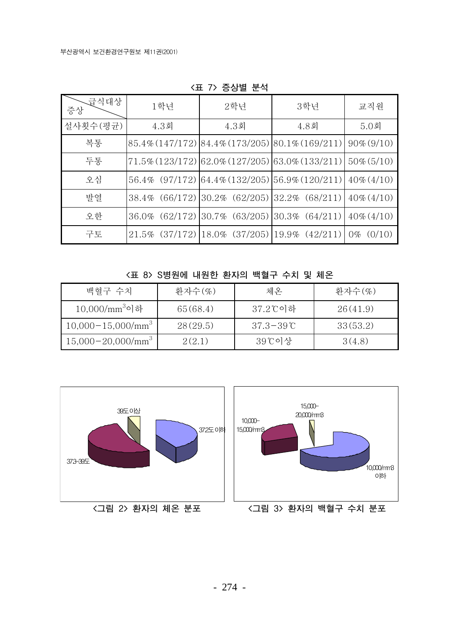| 급식대상<br>증상 | 1학년               | 2학년                                             | 3학년                                             | 교직원             |
|------------|-------------------|-------------------------------------------------|-------------------------------------------------|-----------------|
| 설사횟수(평균)   | $4.3$ 회           | $4.3$ 회                                         | $4.8$ 회                                         | $5.0$ 회         |
| 복통         |                   | 85.4% (147/172) 84.4% (173/205) 80.1% (169/211) |                                                 | $90\% (9/10)$   |
| 두통         |                   |                                                 | 71.5% (123/172) 62.0% (127/205) 63.0% (133/211) | $50\% (5/10)$   |
| 오심         | 56.4% (97/172)    | $(64.4\% (132/205)   56.9\% (120/211)$          |                                                 | $40\% (4/10)$   |
| 발열         | 38.4% (66/172)    | $ 30.2\% \; (62/205)  32.2\% \; (68/211)$       |                                                 | $40\% (4/10)$   |
| 오한         | (62/172)<br>36.0% | (63/205)<br>30.7%                               | $(30.3\%)(64/211)$                              | $40\% (4/10)$   |
| 구토         |                   | $21.5\%$ (37/172) 18.0% (37/205) 19.9% (42/211) |                                                 | (0/10)<br>$0\%$ |

<표 7> 증상별 분석

<표 8> S병원에 내원한 환자의 백혈구 수치 및 체온

| 백혈구 수치                        | 환자수 $(\%)$ | 체온             | 환자수(%)   |
|-------------------------------|------------|----------------|----------|
| $10,000/\text{mm}^3$ 이하       | 65(68.4)   | 37.2℃이하        | 26(41.9) |
| $10,000-15,000/mm^3$          | 28(29.5)   | $37.3 - 39$ °C | 33(53.2) |
| $15,000 - 20,000/\text{mm}^3$ | 2(2.1)     | 39℃이상          | 3(4.8)   |

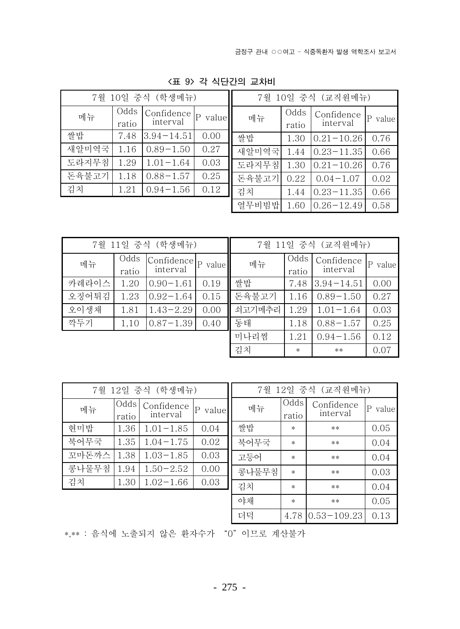$|P$  value

 $0.76$ 

0.66

0.76

0.02

0.66

0.58

|       | 7월 10일 중식 (학생메뉴) |                        |                       |       |               | 7월 10일 중식 (교직원메뉴)      |  |
|-------|------------------|------------------------|-----------------------|-------|---------------|------------------------|--|
| 메뉴    | Odds<br>ratio    | Confidence<br>interval | $\mathbf{P}$<br>value | 메뉴    | Odds<br>ratio | Confidence<br>interval |  |
| 쌀밥    | 7.48             | $3.94 - 14.51$         | 0.00                  | 쌀밥    | 1.30          | $0.21 - 10.26$         |  |
| 새알미역국 | 1.16             | $0.89 - 1.50$          | 0.27                  | 새알미역국 | 1.44          | $0.23 - 11.35$         |  |
| 도라지무침 | 1.29             | $1.01 - 1.64$          | 0.03                  | 도라지무침 | 1.30          | $0.21 - 10.26$         |  |
| 돈육불고기 | 1.18             | $0.88 - 1.57$          | 0.25                  | 돈육불고기 | 0.22          | $0.04 - 1.07$          |  |
| 김치    | 1.21             | $0.94 - 1.56$          | 0.12                  | 김치    | 1.44          | $0.23 - 11.35$         |  |
|       |                  |                        |                       | 열무비빔밥 | 1.60          | $0.26 - 12.49$         |  |

<표 9> 각 식단간의 교차비

| 7월 11일 중식 (학생메뉴) |               |                        |                       | 7월 11일 중식 (교직원메뉴) |               |                        |            |
|------------------|---------------|------------------------|-----------------------|-------------------|---------------|------------------------|------------|
| 메뉴               | Odds<br>ratio | Confidence<br>interval | $\mathsf{P}$<br>value | 메뉴                | Odds<br>ratio | Confidence<br>interval | P<br>value |
| 카레라이스            | 1.20          | $0.90 - 1.61$          | 0.19                  | 쌀밥                | 7.48          | $3.94 - 14.51$         | 0.00       |
| 오징어튀김            | 1.23          | $0.92 - 1.64$          | 0.15                  | 돈육불고기             | 1.16          | $0.89 - 1.50$          | 0.27       |
| 오이생채             | 1.81          | $1.43 - 2.29$          | 0.00                  | 쇠고기메추리            | 1.29          | $1.01 - 1.64$          | 0.03       |
| 깍두기              | 1,10          | $0.87 - 1.39$          | 0.40                  | 동태                | 1.18          | $0.88 - 1.57$          | 0.25       |
|                  |               |                        |                       | 미나리찜              | 1.21          | $0.94 - 1.56$          | 0.12       |
|                  |               |                        |                       | 김치                | $\ast$        | $***$                  | 0.07       |

| 7월 12일 중식 (학생메뉴) |               |                        |             |  |  |  |
|------------------|---------------|------------------------|-------------|--|--|--|
| 메뉴               | Odds<br>ratio | Confidence<br>interval | value<br> P |  |  |  |
| 현미밥              | 1.36          | $1.01 - 1.85$          | 0.04        |  |  |  |
| 북어무국             | 1.35          | $1.04 - 1.75$          | 0.02        |  |  |  |
| 꼬마돈까스            | 1.38          | $1.03 - 1.85$          | 0.03        |  |  |  |
| 콩나물무침            | 1.94          | $1.50 - 2.52$          | 0.00        |  |  |  |
| 김치               | 1.30          | $1.02 - 1.66$          | 0.03        |  |  |  |
|                  |               |                        |             |  |  |  |

| 7월 12일 중식 (교직원메뉴) |               |                        |         |  |  |  |  |
|-------------------|---------------|------------------------|---------|--|--|--|--|
| 메뉴                | Odds<br>ratio | Confidence<br>interval | P value |  |  |  |  |
| 쌀밥                | $\ast$        | **                     | 0.05    |  |  |  |  |
| 북어무국              | $\ast$        | $**$                   | 0.04    |  |  |  |  |
| 고등어               | $\ast$        | $**$                   | 0.04    |  |  |  |  |
| 콩나물무침             | $\ast$        | $**$                   | 0.03    |  |  |  |  |
| 김치                | $\ast$        | $**$                   | 0.04    |  |  |  |  |
| 야채                | $\ast$        | **                     | 0.05    |  |  |  |  |
| 더덕                | 4.78          | $0.53 - 109.23$        | 0.13    |  |  |  |  |

\*,\*\* : 음식에 노출되지 않은 환자수가 "0" 이므로 계산불가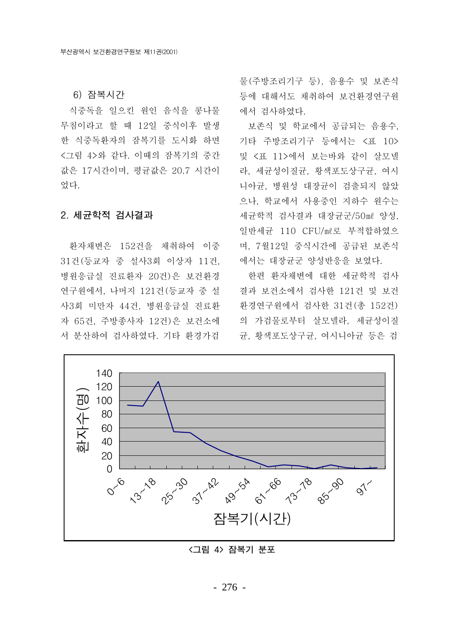6) 잠복시간

식중독을 일으킨 워인 음식을 콩나물 무침이라고 할 때 12일 중식이후 발생 한 식중독환자의 잠복기를 도시화 하면 <그림 4>와 같다. 이때의 잠복기의 중간 값은 17시간이며, 평규값은 20.7 시간이 었다.

### 2. 세규학적 검사결과

환자채변은 152건을 채취하여 이중 31건 (등교자 중 설사3회 이상자 11건, 병원응급실 진료환자 20건)은 보건환경 연구원에서, 나머지 121건(등교자 중 설 사3회 미만자 44건, 병원응급실 진료환 자 65건, 주방종사자 12건)은 보건소에 서 분산하여 검사하였다. 기타 환경가검

물(주방조리기구 등). 음용수 및 보존식 등에 대해서도 채취하여 보건환경연구원 에서 검사하였다.

보존식 및 학교에서 공급되는 음용수, 기타 주방조리기구 등에서는 <표 10> 및 <표 11>에서 보는바와 같이 살모넬 라, 세균성이질균, 황색포도상구균, 여시 니아규, 병원성 대장규이 검출되지 않았 으나, 학교에서 사용중인 지하수 원수는 세균학적 검사결과 대장균군/50ml 양성, 일반세균 110 CFU/ml로 부적합하였으 며, 7월12일 중식시간에 공급된 보존식 에서는 대장균군 양성반응을 보였다.

한편 화자채변에 대한 세규학적 검사 결과 보건소에서 검사한 121건 및 보건 환경연구원에서 검사한 31건(총 152건) 의 가검물로부터 살모넬라, 세균성이질 균, 황색포도상구균, 여시니아균 등은 검



# <그림 4> 잠복기 분포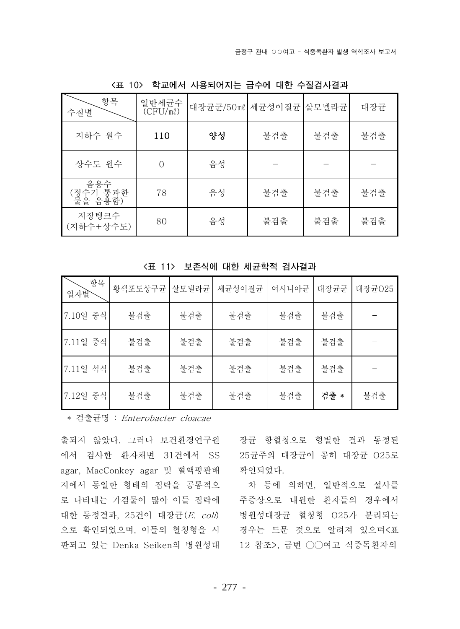| 항목<br>수질별                  | 일반세균수<br>$\overline{(CFU/m\ell)}$ | 대장균군/50ml | 세균성이질균  살모넬라균 |     | 대장균 |
|----------------------------|-----------------------------------|-----------|---------------|-----|-----|
| 지하수 원수                     | 110                               | 양성        | 불검출           | 불검출 | 불검출 |
| 상수도 원수                     | $\bigcap$                         | 음성        |               |     |     |
| 음용수<br>(정수기 통과한<br>물을 음용함) | 78                                | 음성        | 불검출           | 불검출 | 불검출 |
| 저장탱크수<br>(지하수+상수도)         | 80                                | 음성        | 불검출           | 불검출 | 불검출 |

<표 10> 학교에서 사용되어지는 급수에 대한 수질검사결과

| 항목<br>일자발 | 황색포도상구균 | 살모넬라균 | 세균성이질균 | 여시니아균 | 대장균군 | 대장균025 |
|-----------|---------|-------|--------|-------|------|--------|
| 7.10일 중식  | 불검출     | 불검출   | 불검출    | 불검출   | 불검출  |        |
| 7.11일 중식  | 불검출     | 불검출   | 불검출    | 불검출   | 불검출  |        |
| 7.11일 석식  | 불검출     | 불검출   | 불검출    | 불검출   | 불검출  |        |
| 7.12일 중식  | 불검출     | 불검출   | 불검출    | 불검출   | 검출 * | 불검출    |

<표 11> 보존식에 대한 세규한적 검사결과

\* 검출균명 : Enterobacter cloacae

출되지 않았다. 그러나 보건환경연구원 장균 항혈청으로 형별한 결과 동정된 에서 검사한 환자채변 31건에서 SS 25균주의 대장균이 공히 대장균 O25로 agar, MacConkey agar 및 혈액평판배 지에서 동일한 형태의 집락을 공통적으 로 나타내는 가검물이 많아 이들 집락에 주증상으로 내원한 환자들의 경우에서 대한 동정결과, 25건이 대장균(E. coli) 으로 확인되었으며, 이들의 혈청형을 시 판되고 있는 Denka Seiken의 병원성대 12 참조>, 금번 ○○여고 식중독환자의

확인되었다.

차 등에 의하면, 일반적으로 설사를 병원성대장균 혈청형 O25가 분리되는 경우는 드문 것으로 알려져 있으며<표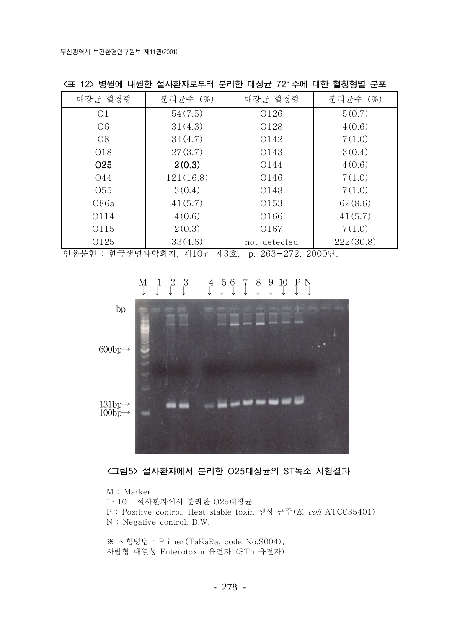| 대장균 혈청형         | 분리균주 (%)  | 대장균 혈청형      | 분리균주 (%)  |
|-----------------|-----------|--------------|-----------|
| O <sub>1</sub>  | 54(7.5)   | 0126         | 5(0.7)    |
| O <sub>6</sub>  | 31(4.3)   | 0128         | 4(0.6)    |
| O <sub>8</sub>  | 34(4.7)   | 0142         | 7(1.0)    |
| 018             | 27(3.7)   | 0143         | 3(0.4)    |
| O <sub>25</sub> | 2(0.3)    | 0144         | 4(0.6)    |
| 044             | 121(16.8) | 0146         | 7(1.0)    |
| 055             | 3(0.4)    | 0148         | 7(1.0)    |
| 086a            | 41(5.7)   | 0153         | 62(8.6)   |
| 0114            | 4(0.6)    | 0166         | 41(5.7)   |
| 0115            | 2(0.3)    | O167         | 7(1.0)    |
| 0125            | 33(4.6)   | not detected | 222(30.8) |

<표 12> 병원에 내원한 설사환자로부터 분리한 대장균 721주에 대한 혈청형별 분포

인용문헌 : 한국생명과학회지, 제10권 제3호, p. 263-272, 2000년.



#### $\begin{array}{cc} 2 & 3 \\ \downarrow & \downarrow \end{array}$  $\frac{4}{1}$  $\begin{bmatrix} 5 & 6 \\ 1 & 1 \end{bmatrix}$  $\int_{0}^{8}$  $\begin{matrix} 9 & 10 & P & N \\ \downarrow & \downarrow & \downarrow & \downarrow \end{matrix}$  $M_{\odot}$  $\frac{1}{2}$  $\frac{7}{1}$

<그림5> 설사환자에서 분리한 O25대장균의 ST독소 시험결과

M: Marker 1~10 : 설사환자에서 분리한 O25대장균 P: Positive control, Heat stable toxin 생성 균주(E. coli ATCC35401) N: Negative control, D.W.

※ 시험방법 : Primer (TaKaRa, code No.S004), 사람형 내열성 Enterotoxin 유전자 (STh 유전자)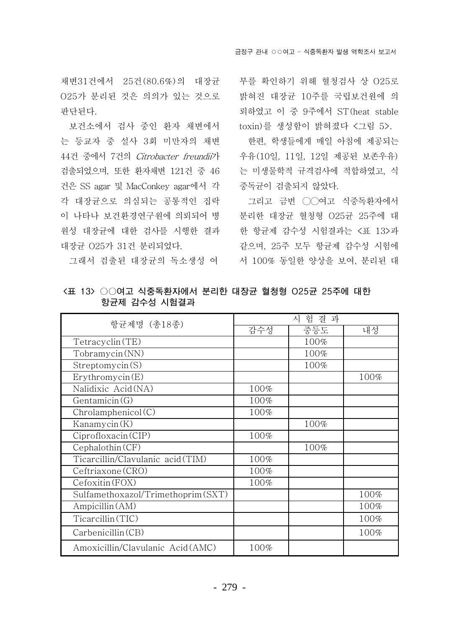채변31건에서 25건(80.6%)의 대장규 025가 분리된 것은 의의가 있는 것으로 판단된다.

보건소에서 검사 중인 환자 채변에서 는 등교자 중 설사 3회 미만자의 채변 44건 중에서 7건의 Citrobacter freundii가 검출되었으며, 또한 환자채변 121건 중 46 건은 SS agar 및 MacConkey agar에서 각 각 대장균으로 의심되는 공통적인 집락 이 나타나 보건환경연구원에 의뢰되어 병 워성 대장규에 대한 검사를 시행한 결과 대장균 025가 31건 분리되었다.

그래서 검출된 대장균의 독소생성 여

부를 확인하기 위해 혈청검사 상 025로 밝혀진 대장균 10주를 국립보건원에 의 뢰하였고 이 중 9주에서 ST (heat stable toxin)를 생성함이 밝혀졌다 <그림 5>.

한편, 학생들에게 매일 아침에 제공되는 우유(10일, 11일, 12일 제공된 보존우유) 는 미생물학적 규격검사에 적합하였고, 식 중독균이 검출되지 않았다.

그리고 금번 ○○여고 식중독환자에서 분리한 대장균 혈청형 O25균 25주에 대 한 항규제 감수성 시험결과는 <표 13>과 같으며, 25주 모두 항규제 감수성 시험에 서 100% 동일한 양상을 보여, 분리된 대

| 항균제명 (총18종)                        | 시 험 결 과 |      |      |  |
|------------------------------------|---------|------|------|--|
|                                    | 감수성     | 중등도  | 내성   |  |
| Tetracyclin(TE)                    |         | 100% |      |  |
| Tobramycin(NN)                     |         | 100% |      |  |
| Streptomycin(S)                    |         | 100% |      |  |
| Erythromycin(E)                    |         |      | 100% |  |
| Nalidixic Acid (NA)                | 100%    |      |      |  |
| Gentamicin(G)                      | 100%    |      |      |  |
| Chrolamphenicol(C)                 | 100%    |      |      |  |
| Kanamycin(K)                       |         | 100% |      |  |
| Ciproflox (CIP)                    | 100%    |      |      |  |
| Cephalothin (CF)                   |         | 100% |      |  |
| Ticarcillin/Clavulanic acid(TIM)   | 100%    |      |      |  |
| Ceftriaxone (CRO)                  | 100%    |      |      |  |
| Cefoxitin (FOX)                    | 100%    |      |      |  |
| Sulfamethoxazol/Trimethoprim (SXT) |         |      | 100% |  |
| Ampicillin (AM)                    |         |      | 100% |  |
| Ticarcillin (TIC)                  |         |      | 100% |  |
| Carbenicillin (CB)                 |         |      | 100% |  |
| Amoxicillin/Clavulanic Acid(AMC)   | 100%    |      |      |  |

<표 13> ○○여고 식중독환자에서 분리한 대장균 혈청형 O25균 25주에 대한 항균제 감수성 시험결과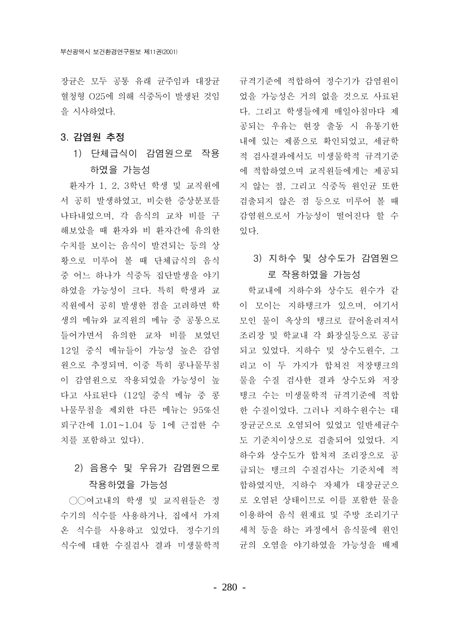혈청형 O25에 의해 식중독이 발생된 것임 을 시사하였다.

# 3. 감염원 추정

1) 단체급식이 감염원으로 작용 하였을 가능성

환자가 1, 2, 3학년 학생 및 교직원에 서 공히 발생하였고, 비슷한 증상분포를 나타내었으며, 각 음식의 교차 비를 구 해보았을 때 환자와 비 환자간에 유의한 수치를 보이는 음식이 발견되는 등의 상 황으로 미루어 볼 때 단체급식의 음식 중 어느 하나가 식중독 집단발생을 야기 하였을 가능성이 크다. 특히 학생과 교 직원에서 공히 발생한 점을 고려하면 학 생의 메뉴와 교직원의 메뉴 중 공통으로 들어가면서 유의한 교차 비를 보였던 12일 중식 메뉴들이 가능성 높은 감염 원으로 추정되며, 이중 특히 콩나물무침 이 감염원으로 작용되었을 가능성이 높 다고 사료된다 (12일 중식 메뉴 중 콩 나물무침을 제외한 다른 메뉴는 95%신 뢰구간에 1.01~1.04 등 1에 근접한 수 치를 포함하고 있다).

# 2) 음용수 및 우유가 감염원으로 작용하였을 가능성

○○여고내의 학생 및 교직원들은 정 수기의 식수를 사용하거나. 집에서 가져 온 식수를 사용하고 있었다. 정수기의 식수에 대한 수질검사 결과 미생물학적

장규은 모두 공통 유래 규주임과 대장규 - 규격기주에 적합하여 정수기가 감염원이 었을 가능성은 거의 없을 것으로 사료된 다. 그리고 학생들에게 매일아침마다 제 공되는 우유는 현장 출동 시 유통기한 내에 있는 제품으로 확인되었고, 세규학 적 검사결과에서도 미생물학적 규격기준 에 적합하였으며 교직원들에게는 제공되 지 않는 점, 그리고 식중독 원인균 또한 검출되지 않은 점 등으로 미루어 볼 때 감염원으로서 가능성이 떨어진다 할 수 있다.

# 3) 지하수 및 상수도가 감염원으 로 작용하였을 가능성

학교내에 지하수와 상수도 원수가 같 이 모이는 지하탱크가 있으며, 여기서 모인 물이 옥상의 탱크로 끌어올려져서 조리장 및 학교내 각 화장실등으로 공급 되고 있었다. 지하수 및 상수도원수, 그 리고 이 두 가지가 합쳐진 저장탱크의 물을 수질 검사한 결과 상수도와 저장 탱크 수는 미생물학적 규격기준에 적합 한 수질이었다. 그러나 지하수원수는 대 장균군으로 오염되어 있었고 일반세균수 도 기준치이상으로 검출되어 있었다. 지 하수와 상수도가 합쳐져 조리장으로 공 급되는 탱크의 수질검사는 기준치에 적 합하였지만, 지하수 자체가 대장균군으 로 오염된 상태이므로 이를 포함한 물을 이용하여 음식 원재료 및 주방 조리기구 세척 등을 하는 과정에서 음식물에 원인 균의 오염을 야기하였을 가능성을 배제